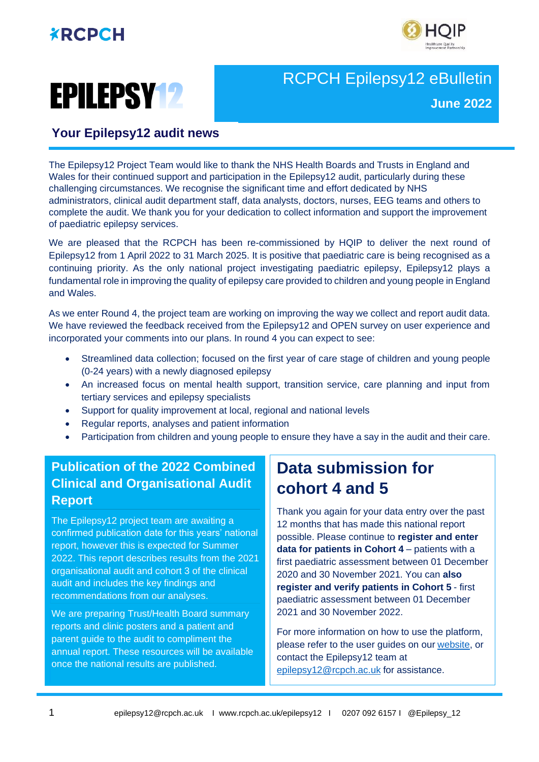





## RCPCH Epilepsy12 eBulletin **June 2022**

#### **Your Epilepsy12 audit news**

The Epilepsy12 Project Team would like to thank the NHS Health Boards and Trusts in England and Wales for their continued support and participation in the Epilepsy12 audit, particularly during these challenging circumstances. We recognise the significant time and effort dedicated by NHS administrators, clinical audit department staff, data analysts, doctors, nurses, EEG teams and others to complete the audit. We thank you for your dedication to collect information and support the improvement of paediatric epilepsy services.

We are pleased that the RCPCH has been re-commissioned by HQIP to deliver the next round of Epilepsy12 from 1 April 2022 to 31 March 2025. It is positive that paediatric care is being recognised as a continuing priority. As the only national project investigating paediatric epilepsy, Epilepsy12 plays a fundamental role in improving the quality of epilepsy care provided to children and young people in England and Wales.

As we enter Round 4, the project team are working on improving the way we collect and report audit data. We have reviewed the feedback received from the Epilepsy12 and OPEN survey on user experience and incorporated your comments into our plans. In round 4 you can expect to see:

- Streamlined data collection; focused on the first year of care stage of children and young people (0-24 years) with a newly diagnosed epilepsy
- An increased focus on mental health support, transition service, care planning and input from tertiary services and epilepsy specialists
- Support for quality improvement at local, regional and national levels
- Regular reports, analyses and patient information
- Participation from children and young people to ensure they have a say in the audit and their care.

### **Publication of the 2022 Combined Clinical and Organisational Audit Report**

The Epilepsy12 project team are awaiting a confirmed publication date for this years' national report, however this is expected for Summer 2022. This report describes results from the 2021 organisational audit and cohort 3 of the clinical audit and includes the key findings and recommendations from our analyses.

We are preparing Trust/Health Board summary reports and clinic posters and a patient and parent guide to the audit to compliment the annual report. These resources will be available once the national results are published.

## **Data submission for cohort 4 and 5**

Thank you again for your data entry over the past 12 months that has made this national report possible. Please continue to **register and enter data for patients in Cohort 4** – patients with a first paediatric assessment between 01 December 2020 and 30 November 2021. You can **also register and verify patients in Cohort 5** - first paediatric assessment between 01 December 2021 and 30 November 2022.

For more information on how to use the platform, please refer to the user guides on our [website,](https://www.rcpch.ac.uk/work-we-do/quality-improvement-patient-safety/epilepsy12-audit/methodology-data-submission) or contact the Epilepsy12 team at [epilepsy12@rcpch.ac.uk](mailto:epilepsy12@rcpch.ac.uk) for assistance.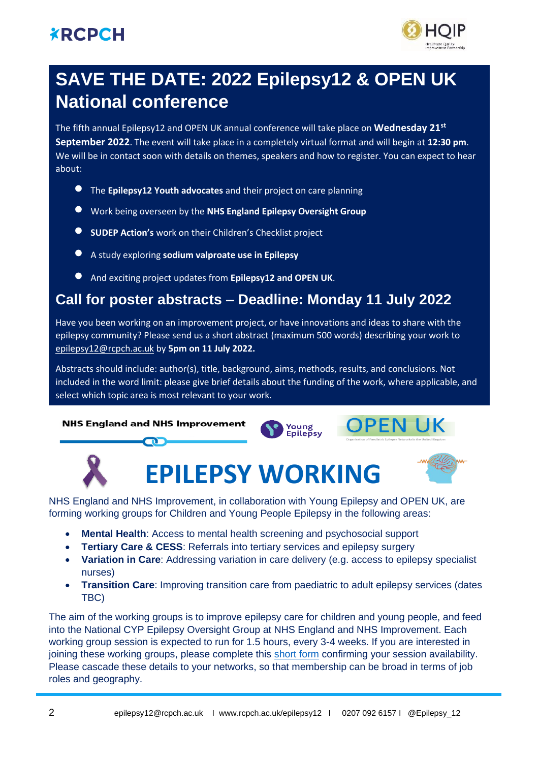## **XRCPCH**



# **SAVE THE DATE: 2022 Epilepsy12 & OPEN UK National conference**

The fifth annual Epilepsy12 and OPEN UK annual conference will take place on **Wednesday 21st September 2022**. The event will take place in a completely virtual format and will begin at **12:30 pm**. We will be in contact soon with details on themes, speakers and how to register. You can expect to hear about:

- The **Epilepsy12 Youth advocates** and their project on care planning
- Work being overseen by the **NHS England Epilepsy Oversight Group**
- **SUDEP Action's** work on their Children's Checklist project
- A study exploring **sodium valproate use in Epilepsy**
- And exciting project updates from **Epilepsy12 and OPEN UK**.

## **Call for poster abstracts – Deadline: Monday 11 July 2022**

Have you been working on an improvement project, or have innovations and ideas to share with the epilepsy community? Please send us a short abstract (maximum 500 words) describing your work to [epilepsy12@rcpch.ac.uk](mailto:epilepsy12@rcpch.ac.uk) by **5pm on 11 July 2022.**

Abstracts should include: author(s), title, background, aims, methods, results, and conclusions. Not included in the word limit: please give brief details about the funding of the work, where applicable, and select which topic area is most relevant to your work.

#### **OPEN UK NHS England and NHS Improvement** Young Epilepsy **EPILEPSY WORKING**

NHS England and NHS Improvement, in collaboration with Young Epilepsy and OPEN UK, are forming working groups for Children and Young People Epilepsy in the following areas:

- **Mental Health**: Access to mental health screening and psychosocial support
- **Tertiary Care & CESS**: Referrals into tertiary services and epilepsy surgery
- **Variation in Care**: Addressing variation in care delivery (e.g. access to epilepsy specialist nurses)
- **Transition Care**: Improving transition care from paediatric to adult epilepsy services (dates TBC)

The aim of the working groups is to improve epilepsy care for children and young people, and feed into the National CYP Epilepsy Oversight Group at NHS England and NHS Improvement. Each working group session is expected to run for 1.5 hours, every 3-4 weeks. If you are interested in joining these working groups, please complete this [short form](https://forms.office.com/r/XLBNJQtX2A) confirming your session availability. Please cascade these details to your networks, so that membership can be broad in terms of job roles and geography.